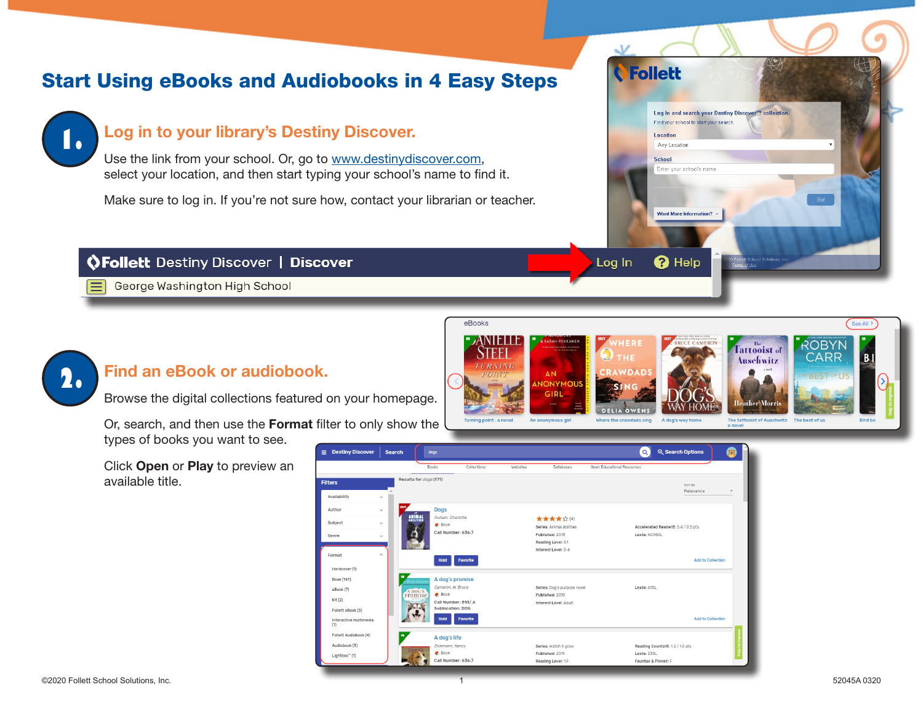# Start Using eBooks and Audiobooks in 4 Easy Steps



#### Log in to your library's Destiny Discover.

Use the link from your school. Or, go to www.destinydiscover.com, select your location, and then start typing your school's name to find it.

Make sure to log in. If you're not sure how, contact your librarian or teacher.

#### *OFollett Destiny Discover | Discover*

George Washington High School



## Find an eBook or audiobook.

Browse the digital collections featured on your homepage.

Or, search, and then use the Format filter to only show the types of books you want to see.

Click Open or Play to preview an available title.



**AN** 

An anonymous girl

**IONYMOL** GIPI

eBooks

ANIELI

**TURNING** 

**Furning point: a novel** 

 $\vee$ 

Log In

VDAD

**DELIA OWEN** 

Where the crawdads sing

**O**Follett

Location Any Location School

Log in and search your Destiny Discover<sup>7</sup> collection.

Find your school to start your search.

Enter your school's name

**Want More Information?** 

 $\mathbf 0$  Help

A dog's way home

See All<sup>3</sup>

**Bird bo** 

**ROBYN** 

CARR

**EBEST OF US** 

Tattooist of

**Ausefiwitz** 

lovon e

The tattooist of Auschwitz The best of us